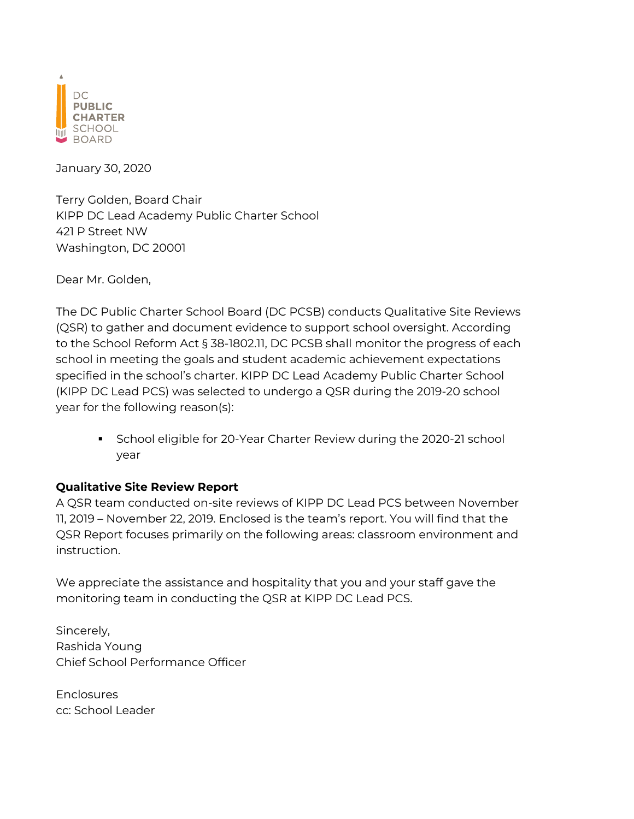

January 30, 2020

Terry Golden, Board Chair KIPP DC Lead Academy Public Charter School 421 P Street NW Washington, DC 20001

Dear Mr. Golden,

The DC Public Charter School Board (DC PCSB) conducts Qualitative Site Reviews (QSR) to gather and document evidence to support school oversight. According to the School Reform Act § 38-1802.11, DC PCSB shall monitor the progress of each school in meeting the goals and student academic achievement expectations specified in the school's charter. KIPP DC Lead Academy Public Charter School (KIPP DC Lead PCS) was selected to undergo a QSR during the 2019-20 school year for the following reason(s):

**School eligible for 20-Year Charter Review during the 2020-21 school** year

## **Qualitative Site Review Report**

A QSR team conducted on-site reviews of KIPP DC Lead PCS between November 11, 2019 – November 22, 2019. Enclosed is the team's report. You will find that the QSR Report focuses primarily on the following areas: classroom environment and instruction.

We appreciate the assistance and hospitality that you and your staff gave the monitoring team in conducting the QSR at KIPP DC Lead PCS.

Sincerely, Rashida Young Chief School Performance Officer

**Enclosures** cc: School Leader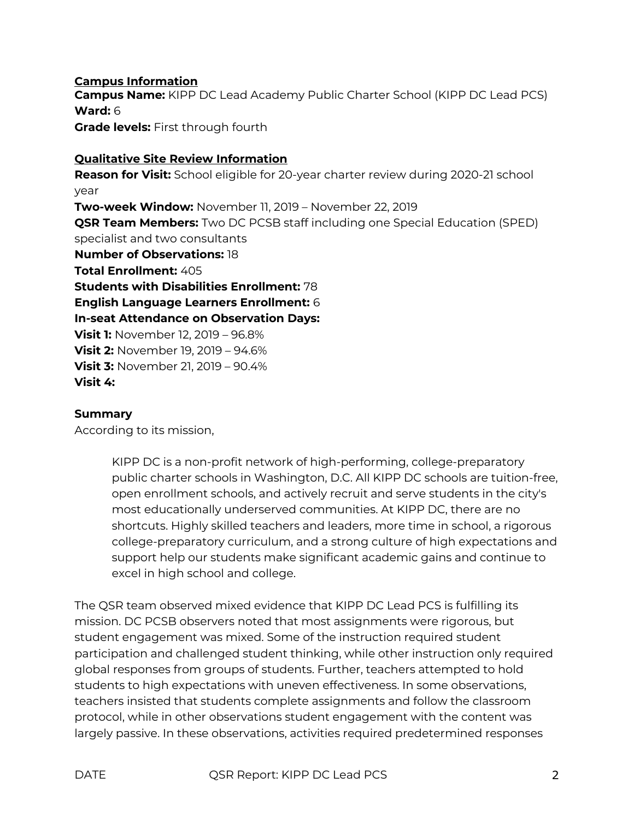**Campus Information Campus Name:** KIPP DC Lead Academy Public Charter School (KIPP DC Lead PCS) **Ward:** 6 **Grade levels:** First through fourth

## **Qualitative Site Review Information**

**Reason for Visit:** School eligible for 20-year charter review during 2020-21 school year **Two-week Window:** November 11, 2019 – November 22, 2019 **QSR Team Members:** Two DC PCSB staff including one Special Education (SPED) specialist and two consultants **Number of Observations:** 18 **Total Enrollment:** 405 **Students with Disabilities Enrollment:** 78 **English Language Learners Enrollment:** 6 **In-seat Attendance on Observation Days: Visit 1:** November 12, 2019 – 96.8% **Visit 2:** November 19, 2019 – 94.6% **Visit 3:** November 21, 2019 – 90.4% **Visit 4:**

### **Summary**

According to its mission,

KIPP DC is a non-profit network of high-performing, college-preparatory public charter schools in Washington, D.C. All KIPP DC schools are tuition-free, open enrollment schools, and actively recruit and serve students in the city's most educationally underserved communities. At KIPP DC, there are no shortcuts. Highly skilled teachers and leaders, more time in school, a rigorous college-preparatory curriculum, and a strong culture of high expectations and support help our students make significant academic gains and continue to excel in high school and college.

The QSR team observed mixed evidence that KIPP DC Lead PCS is fulfilling its mission. DC PCSB observers noted that most assignments were rigorous, but student engagement was mixed. Some of the instruction required student participation and challenged student thinking, while other instruction only required global responses from groups of students. Further, teachers attempted to hold students to high expectations with uneven effectiveness. In some observations, teachers insisted that students complete assignments and follow the classroom protocol, while in other observations student engagement with the content was largely passive. In these observations, activities required predetermined responses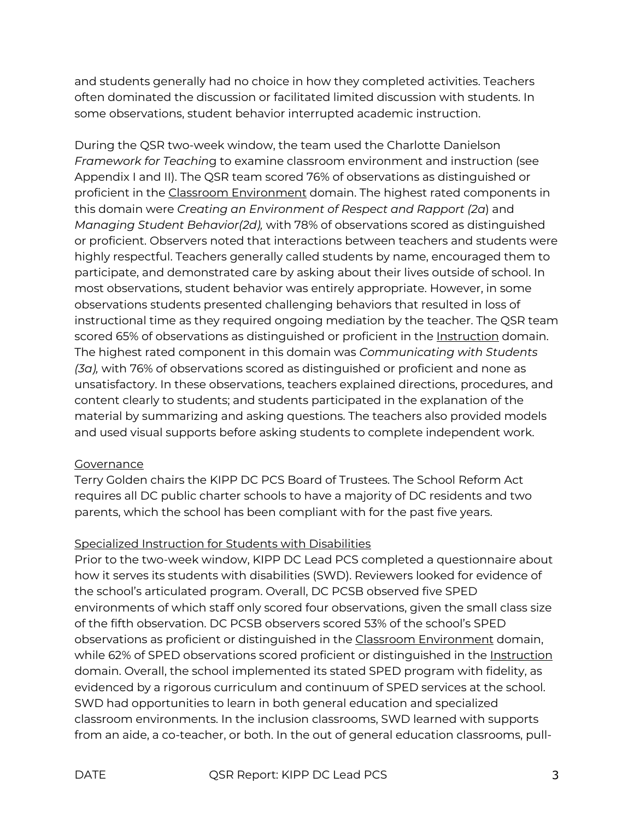and students generally had no choice in how they completed activities. Teachers often dominated the discussion or facilitated limited discussion with students. In some observations, student behavior interrupted academic instruction.

During the QSR two-week window, the team used the Charlotte Danielson *Framework for Teachin*g to examine classroom environment and instruction (see Appendix I and II). The QSR team scored 76% of observations as distinguished or proficient in the Classroom Environment domain. The highest rated components in this domain were *Creating an Environment of Respect and Rapport (2a*) and *Managing Student Behavior(2d),* with 78% of observations scored as distinguished or proficient. Observers noted that interactions between teachers and students were highly respectful. Teachers generally called students by name, encouraged them to participate, and demonstrated care by asking about their lives outside of school. In most observations, student behavior was entirely appropriate. However, in some observations students presented challenging behaviors that resulted in loss of instructional time as they required ongoing mediation by the teacher. The QSR team scored 65% of observations as distinguished or proficient in the Instruction domain. The highest rated component in this domain was *Communicating with Students (3a),* with 76% of observations scored as distinguished or proficient and none as unsatisfactory. In these observations, teachers explained directions, procedures, and content clearly to students; and students participated in the explanation of the material by summarizing and asking questions. The teachers also provided models and used visual supports before asking students to complete independent work.

## **Governance**

Terry Golden chairs the KIPP DC PCS Board of Trustees. The School Reform Act requires all DC public charter schools to have a majority of DC residents and two parents, which the school has been compliant with for the past five years.

# Specialized Instruction for Students with Disabilities

Prior to the two-week window, KIPP DC Lead PCS completed a questionnaire about how it serves its students with disabilities (SWD). Reviewers looked for evidence of the school's articulated program. Overall, DC PCSB observed five SPED environments of which staff only scored four observations, given the small class size of the fifth observation. DC PCSB observers scored 53% of the school's SPED observations as proficient or distinguished in the Classroom Environment domain, while 62% of SPED observations scored proficient or distinguished in the Instruction domain. Overall, the school implemented its stated SPED program with fidelity, as evidenced by a rigorous curriculum and continuum of SPED services at the school. SWD had opportunities to learn in both general education and specialized classroom environments. In the inclusion classrooms, SWD learned with supports from an aide, a co-teacher, or both. In the out of general education classrooms, pull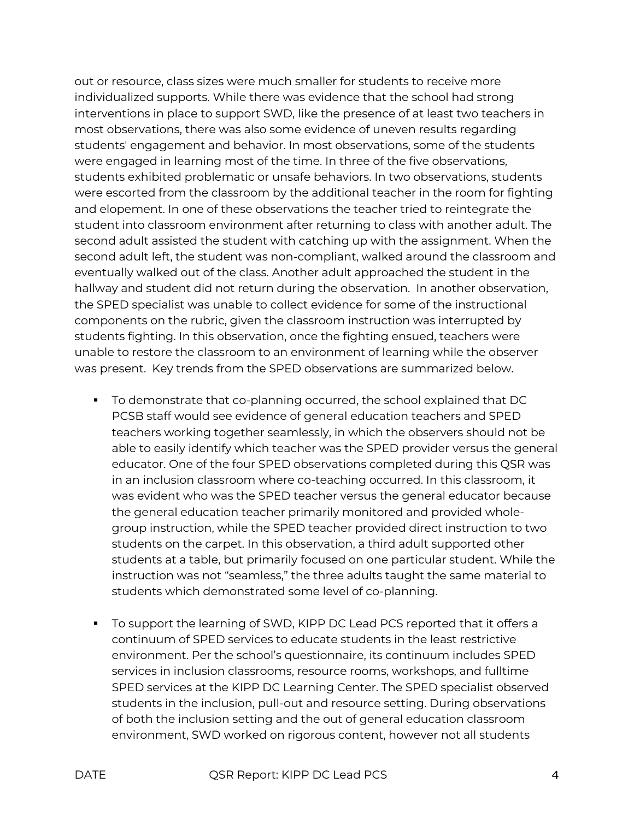out or resource, class sizes were much smaller for students to receive more individualized supports. While there was evidence that the school had strong interventions in place to support SWD, like the presence of at least two teachers in most observations, there was also some evidence of uneven results regarding students' engagement and behavior. In most observations, some of the students were engaged in learning most of the time. In three of the five observations, students exhibited problematic or unsafe behaviors. In two observations, students were escorted from the classroom by the additional teacher in the room for fighting and elopement. In one of these observations the teacher tried to reintegrate the student into classroom environment after returning to class with another adult. The second adult assisted the student with catching up with the assignment. When the second adult left, the student was non-compliant, walked around the classroom and eventually walked out of the class. Another adult approached the student in the hallway and student did not return during the observation. In another observation, the SPED specialist was unable to collect evidence for some of the instructional components on the rubric, given the classroom instruction was interrupted by students fighting. In this observation, once the fighting ensued, teachers were unable to restore the classroom to an environment of learning while the observer was present. Key trends from the SPED observations are summarized below.

- § To demonstrate that co-planning occurred, the school explained that DC PCSB staff would see evidence of general education teachers and SPED teachers working together seamlessly, in which the observers should not be able to easily identify which teacher was the SPED provider versus the general educator. One of the four SPED observations completed during this QSR was in an inclusion classroom where co-teaching occurred. In this classroom, it was evident who was the SPED teacher versus the general educator because the general education teacher primarily monitored and provided wholegroup instruction, while the SPED teacher provided direct instruction to two students on the carpet. In this observation, a third adult supported other students at a table, but primarily focused on one particular student. While the instruction was not "seamless," the three adults taught the same material to students which demonstrated some level of co-planning.
- § To support the learning of SWD, KIPP DC Lead PCS reported that it offers a continuum of SPED services to educate students in the least restrictive environment. Per the school's questionnaire, its continuum includes SPED services in inclusion classrooms, resource rooms, workshops, and fulltime SPED services at the KIPP DC Learning Center. The SPED specialist observed students in the inclusion, pull-out and resource setting. During observations of both the inclusion setting and the out of general education classroom environment, SWD worked on rigorous content, however not all students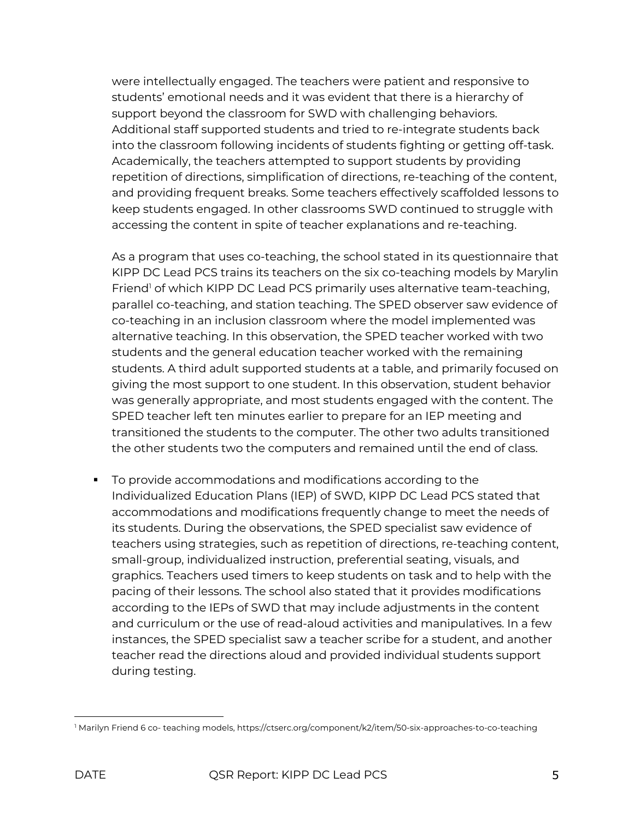were intellectually engaged. The teachers were patient and responsive to students' emotional needs and it was evident that there is a hierarchy of support beyond the classroom for SWD with challenging behaviors. Additional staff supported students and tried to re-integrate students back into the classroom following incidents of students fighting or getting off-task. Academically, the teachers attempted to support students by providing repetition of directions, simplification of directions, re-teaching of the content, and providing frequent breaks. Some teachers effectively scaffolded lessons to keep students engaged. In other classrooms SWD continued to struggle with accessing the content in spite of teacher explanations and re-teaching.

As a program that uses co-teaching, the school stated in its questionnaire that KIPP DC Lead PCS trains its teachers on the six co-teaching models by Marylin Friend<sup>1</sup> of which KIPP DC Lead PCS primarily uses alternative team-teaching, parallel co-teaching, and station teaching. The SPED observer saw evidence of co-teaching in an inclusion classroom where the model implemented was alternative teaching. In this observation, the SPED teacher worked with two students and the general education teacher worked with the remaining students. A third adult supported students at a table, and primarily focused on giving the most support to one student. In this observation, student behavior was generally appropriate, and most students engaged with the content. The SPED teacher left ten minutes earlier to prepare for an IEP meeting and transitioned the students to the computer. The other two adults transitioned the other students two the computers and remained until the end of class.

§ To provide accommodations and modifications according to the Individualized Education Plans (IEP) of SWD, KIPP DC Lead PCS stated that accommodations and modifications frequently change to meet the needs of its students. During the observations, the SPED specialist saw evidence of teachers using strategies, such as repetition of directions, re-teaching content, small-group, individualized instruction, preferential seating, visuals, and graphics. Teachers used timers to keep students on task and to help with the pacing of their lessons. The school also stated that it provides modifications according to the IEPs of SWD that may include adjustments in the content and curriculum or the use of read-aloud activities and manipulatives. In a few instances, the SPED specialist saw a teacher scribe for a student, and another teacher read the directions aloud and provided individual students support during testing.

<sup>1</sup> Marilyn Friend 6 co- teaching models, https://ctserc.org/component/k2/item/50-six-approaches-to-co-teaching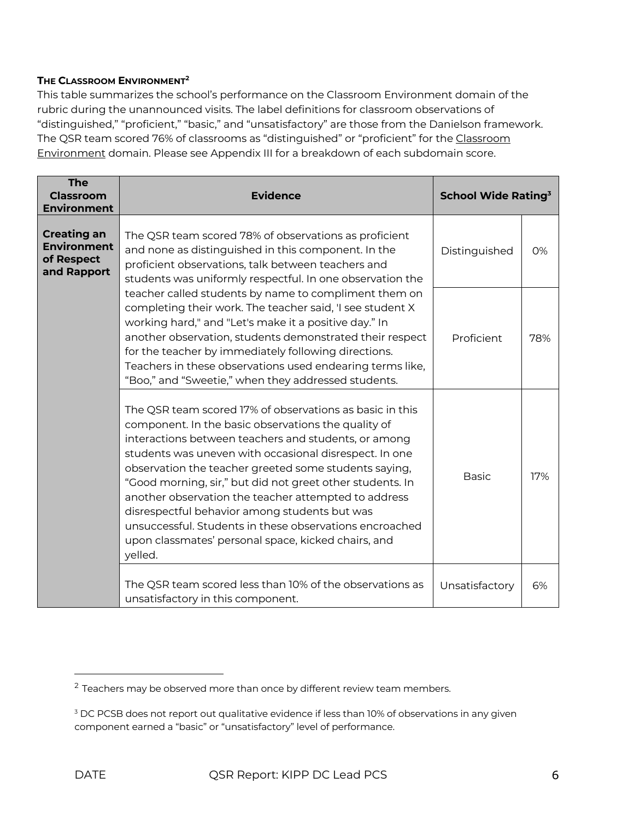### **THE CLASSROOM ENVIRONMENT2**

This table summarizes the school's performance on the Classroom Environment domain of the rubric during the unannounced visits. The label definitions for classroom observations of "distinguished," "proficient," "basic," and "unsatisfactory" are those from the Danielson framework. The QSR team scored 76% of classrooms as "distinguished" or "proficient" for the Classroom Environment domain. Please see Appendix III for a breakdown of each subdomain score.

| <b>The</b><br><b>Classroom</b><br><b>Environment</b>           | <b>Evidence</b>                                                                                                                                                                                                                                                                                                                                                                                                                                                                                                                                                                               | <b>School Wide Rating<sup>3</sup></b> |     |
|----------------------------------------------------------------|-----------------------------------------------------------------------------------------------------------------------------------------------------------------------------------------------------------------------------------------------------------------------------------------------------------------------------------------------------------------------------------------------------------------------------------------------------------------------------------------------------------------------------------------------------------------------------------------------|---------------------------------------|-----|
| <b>Creating an</b><br>Environment<br>of Respect<br>and Rapport | The QSR team scored 78% of observations as proficient<br>and none as distinguished in this component. In the<br>proficient observations, talk between teachers and<br>students was uniformly respectful. In one observation the                                                                                                                                                                                                                                                                                                                                                               |                                       | 0%  |
|                                                                | teacher called students by name to compliment them on<br>completing their work. The teacher said, 'I see student X<br>working hard," and "Let's make it a positive day." In<br>another observation, students demonstrated their respect<br>for the teacher by immediately following directions.<br>Teachers in these observations used endearing terms like,<br>"Boo," and "Sweetie," when they addressed students.                                                                                                                                                                           | Proficient                            | 78% |
|                                                                | The QSR team scored 17% of observations as basic in this<br>component. In the basic observations the quality of<br>interactions between teachers and students, or among<br>students was uneven with occasional disrespect. In one<br>observation the teacher greeted some students saying,<br>"Good morning, sir," but did not greet other students. In<br>another observation the teacher attempted to address<br>disrespectful behavior among students but was<br>unsuccessful. Students in these observations encroached<br>upon classmates' personal space, kicked chairs, and<br>yelled. | <b>Basic</b>                          | 17% |
|                                                                | The QSR team scored less than 10% of the observations as<br>unsatisfactory in this component.                                                                                                                                                                                                                                                                                                                                                                                                                                                                                                 | Unsatisfactory                        | 6%  |

 $2$  Teachers may be observed more than once by different review team members.

 $3$  DC PCSB does not report out qualitative evidence if less than 10% of observations in any given component earned a "basic" or "unsatisfactory" level of performance.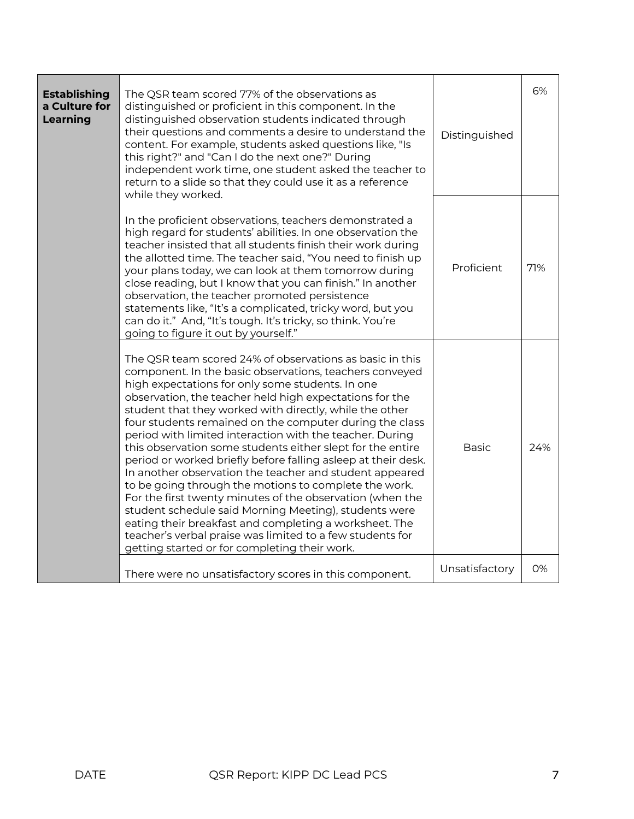| <b>Establishing</b><br>a Culture for<br>Learning | The QSR team scored 77% of the observations as<br>distinguished or proficient in this component. In the<br>distinguished observation students indicated through<br>their questions and comments a desire to understand the<br>content. For example, students asked questions like, "Is<br>this right?" and "Can I do the next one?" During<br>independent work time, one student asked the teacher to<br>return to a slide so that they could use it as a reference<br>while they worked.                                                                                                                                                                                                                                                                                                                                                                                                                                                                             | Distinguished  | 6%  |
|--------------------------------------------------|-----------------------------------------------------------------------------------------------------------------------------------------------------------------------------------------------------------------------------------------------------------------------------------------------------------------------------------------------------------------------------------------------------------------------------------------------------------------------------------------------------------------------------------------------------------------------------------------------------------------------------------------------------------------------------------------------------------------------------------------------------------------------------------------------------------------------------------------------------------------------------------------------------------------------------------------------------------------------|----------------|-----|
|                                                  | In the proficient observations, teachers demonstrated a<br>high regard for students' abilities. In one observation the<br>teacher insisted that all students finish their work during<br>the allotted time. The teacher said, "You need to finish up<br>your plans today, we can look at them tomorrow during<br>close reading, but I know that you can finish." In another<br>observation, the teacher promoted persistence<br>statements like, "It's a complicated, tricky word, but you<br>can do it." And, "It's tough. It's tricky, so think. You're<br>going to figure it out by yourself."                                                                                                                                                                                                                                                                                                                                                                     | Proficient     | 71% |
|                                                  | The QSR team scored 24% of observations as basic in this<br>component. In the basic observations, teachers conveyed<br>high expectations for only some students. In one<br>observation, the teacher held high expectations for the<br>student that they worked with directly, while the other<br>four students remained on the computer during the class<br>period with limited interaction with the teacher. During<br>this observation some students either slept for the entire<br>period or worked briefly before falling asleep at their desk.<br>In another observation the teacher and student appeared<br>to be going through the motions to complete the work.<br>For the first twenty minutes of the observation (when the<br>student schedule said Morning Meeting), students were<br>eating their breakfast and completing a worksheet. The<br>teacher's verbal praise was limited to a few students for<br>getting started or for completing their work. | <b>Basic</b>   | 24% |
|                                                  | There were no unsatisfactory scores in this component.                                                                                                                                                                                                                                                                                                                                                                                                                                                                                                                                                                                                                                                                                                                                                                                                                                                                                                                | Unsatisfactory | 0%  |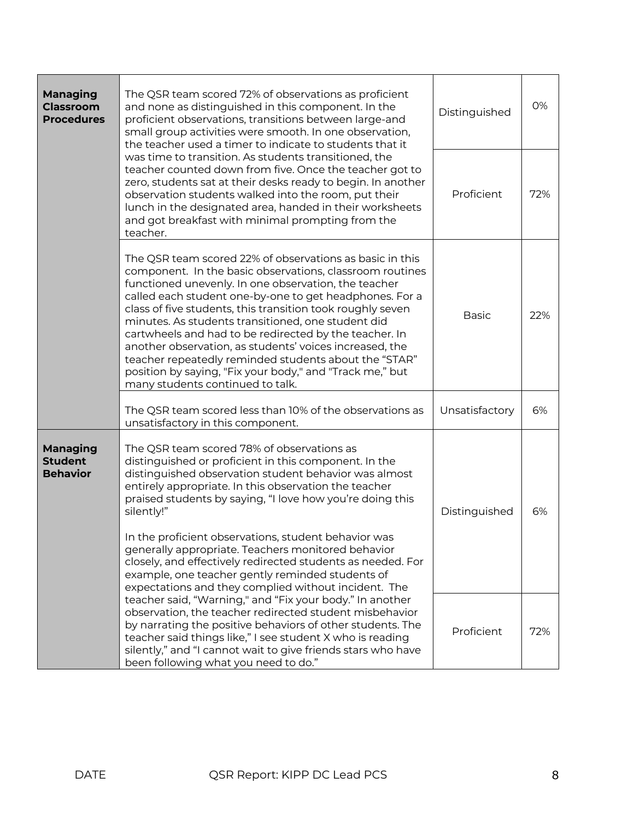| <b>Managing</b><br><b>Classroom</b><br><b>Procedures</b>                                                                                                                                                                                                                                                                                               | The QSR team scored 72% of observations as proficient<br>and none as distinguished in this component. In the<br>proficient observations, transitions between large-and<br>small group activities were smooth. In one observation,<br>the teacher used a timer to indicate to students that it                                                                                                                                                                                                                                                                                                                                             | Distinguished  | 0%  |
|--------------------------------------------------------------------------------------------------------------------------------------------------------------------------------------------------------------------------------------------------------------------------------------------------------------------------------------------------------|-------------------------------------------------------------------------------------------------------------------------------------------------------------------------------------------------------------------------------------------------------------------------------------------------------------------------------------------------------------------------------------------------------------------------------------------------------------------------------------------------------------------------------------------------------------------------------------------------------------------------------------------|----------------|-----|
|                                                                                                                                                                                                                                                                                                                                                        | was time to transition. As students transitioned, the<br>teacher counted down from five. Once the teacher got to<br>zero, students sat at their desks ready to begin. In another<br>observation students walked into the room, put their<br>lunch in the designated area, handed in their worksheets<br>and got breakfast with minimal prompting from the<br>teacher.                                                                                                                                                                                                                                                                     |                | 72% |
|                                                                                                                                                                                                                                                                                                                                                        | The QSR team scored 22% of observations as basic in this<br>component. In the basic observations, classroom routines<br>functioned unevenly. In one observation, the teacher<br>called each student one-by-one to get headphones. For a<br>class of five students, this transition took roughly seven<br>minutes. As students transitioned, one student did<br>cartwheels and had to be redirected by the teacher. In<br>another observation, as students' voices increased, the<br>teacher repeatedly reminded students about the "STAR"<br>position by saying, "Fix your body," and "Track me," but<br>many students continued to talk. | <b>Basic</b>   | 22% |
|                                                                                                                                                                                                                                                                                                                                                        | The QSR team scored less than 10% of the observations as<br>unsatisfactory in this component.                                                                                                                                                                                                                                                                                                                                                                                                                                                                                                                                             | Unsatisfactory | 6%  |
| <b>Managing</b><br><b>Student</b><br><b>Behavior</b>                                                                                                                                                                                                                                                                                                   | The QSR team scored 78% of observations as<br>distinguished or proficient in this component. In the<br>distinguished observation student behavior was almost<br>entirely appropriate. In this observation the teacher<br>praised students by saying, "I love how you're doing this<br>silently!"<br>In the proficient observations, student behavior was<br>generally appropriate. Teachers monitored behavior<br>closely, and effectively redirected students as needed. For<br>example, one teacher gently reminded students of<br>expectations and they complied without incident. The                                                 | Distinguished  | 6%  |
| teacher said, "Warning," and "Fix your body." In another<br>observation, the teacher redirected student misbehavior<br>by narrating the positive behaviors of other students. The<br>teacher said things like," I see student X who is reading<br>silently," and "I cannot wait to give friends stars who have<br>been following what you need to do." |                                                                                                                                                                                                                                                                                                                                                                                                                                                                                                                                                                                                                                           | Proficient     | 72% |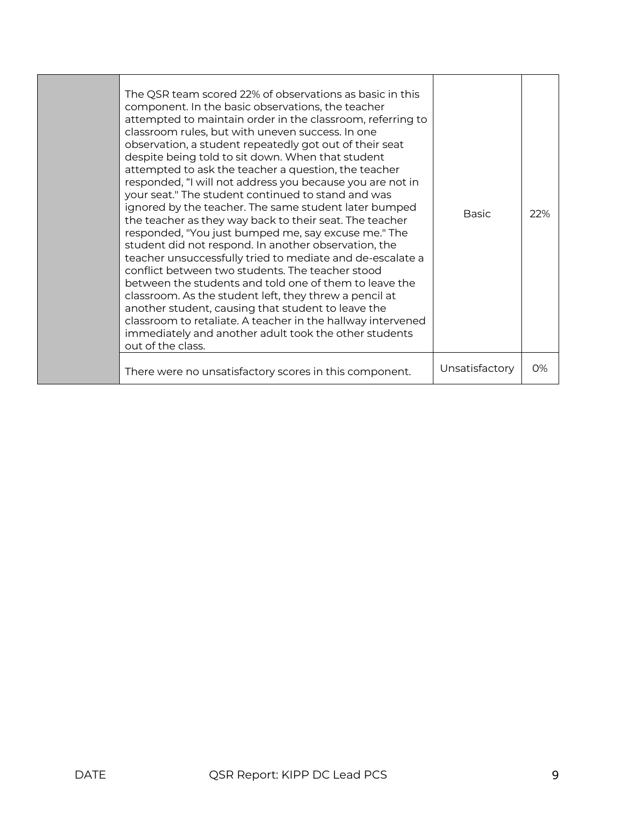| The QSR team scored 22% of observations as basic in this<br>component. In the basic observations, the teacher<br>attempted to maintain order in the classroom, referring to<br>classroom rules, but with uneven success. In one<br>observation, a student repeatedly got out of their seat<br>despite being told to sit down. When that student<br>attempted to ask the teacher a question, the teacher<br>responded, "I will not address you because you are not in<br>your seat." The student continued to stand and was<br>ignored by the teacher. The same student later bumped<br>the teacher as they way back to their seat. The teacher<br>responded, "You just bumped me, say excuse me." The<br>student did not respond. In another observation, the<br>teacher unsuccessfully tried to mediate and de-escalate a<br>conflict between two students. The teacher stood<br>between the students and told one of them to leave the<br>classroom. As the student left, they threw a pencil at<br>another student, causing that student to leave the<br>classroom to retaliate. A teacher in the hallway intervened<br>immediately and another adult took the other students<br>out of the class. | <b>Basic</b>   | 22% |
|-------------------------------------------------------------------------------------------------------------------------------------------------------------------------------------------------------------------------------------------------------------------------------------------------------------------------------------------------------------------------------------------------------------------------------------------------------------------------------------------------------------------------------------------------------------------------------------------------------------------------------------------------------------------------------------------------------------------------------------------------------------------------------------------------------------------------------------------------------------------------------------------------------------------------------------------------------------------------------------------------------------------------------------------------------------------------------------------------------------------------------------------------------------------------------------------------------|----------------|-----|
| There were no unsatisfactory scores in this component.                                                                                                                                                                                                                                                                                                                                                                                                                                                                                                                                                                                                                                                                                                                                                                                                                                                                                                                                                                                                                                                                                                                                                | Unsatisfactory | 0%  |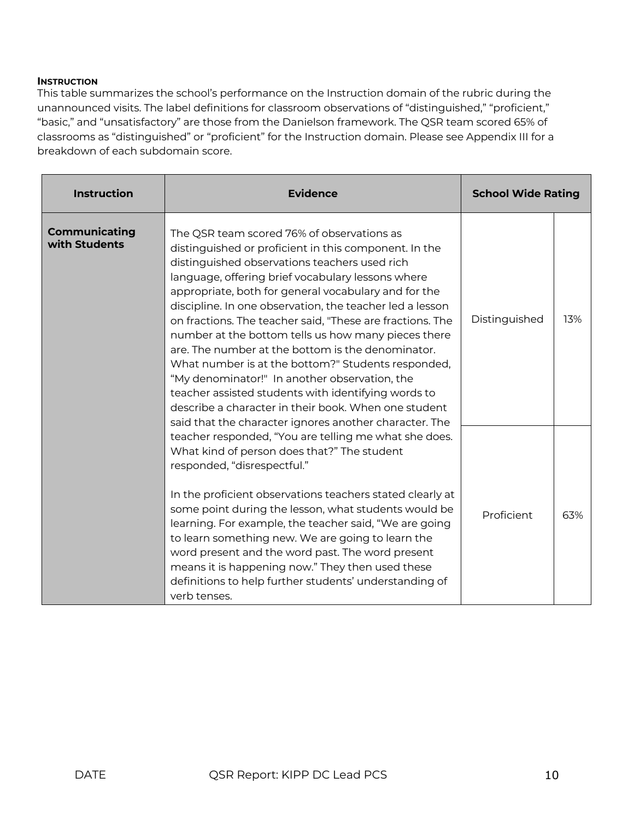#### **INSTRUCTION**

This table summarizes the school's performance on the Instruction domain of the rubric during the unannounced visits. The label definitions for classroom observations of "distinguished," "proficient," "basic," and "unsatisfactory" are those from the Danielson framework. The QSR team scored 65% of classrooms as "distinguished" or "proficient" for the Instruction domain. Please see Appendix III for a breakdown of each subdomain score.

| <b>Instruction</b>             | <b>Evidence</b>                                                                                                                                                                                                                                                                                                                                                                                                                                                                                                                                                                                                                                                                                                                                                                        | <b>School Wide Rating</b> |     |
|--------------------------------|----------------------------------------------------------------------------------------------------------------------------------------------------------------------------------------------------------------------------------------------------------------------------------------------------------------------------------------------------------------------------------------------------------------------------------------------------------------------------------------------------------------------------------------------------------------------------------------------------------------------------------------------------------------------------------------------------------------------------------------------------------------------------------------|---------------------------|-----|
| Communicating<br>with Students | The QSR team scored 76% of observations as<br>distinguished or proficient in this component. In the<br>distinguished observations teachers used rich<br>language, offering brief vocabulary lessons where<br>appropriate, both for general vocabulary and for the<br>discipline. In one observation, the teacher led a lesson<br>on fractions. The teacher said, "These are fractions. The<br>number at the bottom tells us how many pieces there<br>are. The number at the bottom is the denominator.<br>What number is at the bottom?" Students responded,<br>"My denominator!" In another observation, the<br>teacher assisted students with identifying words to<br>describe a character in their book. When one student<br>said that the character ignores another character. The | Distinguished             | 13% |
|                                | teacher responded, "You are telling me what she does.<br>What kind of person does that?" The student<br>responded, "disrespectful."<br>In the proficient observations teachers stated clearly at<br>some point during the lesson, what students would be<br>learning. For example, the teacher said, "We are going<br>to learn something new. We are going to learn the<br>word present and the word past. The word present<br>means it is happening now." They then used these<br>definitions to help further students' understanding of<br>verb tenses.                                                                                                                                                                                                                              | Proficient                | 63% |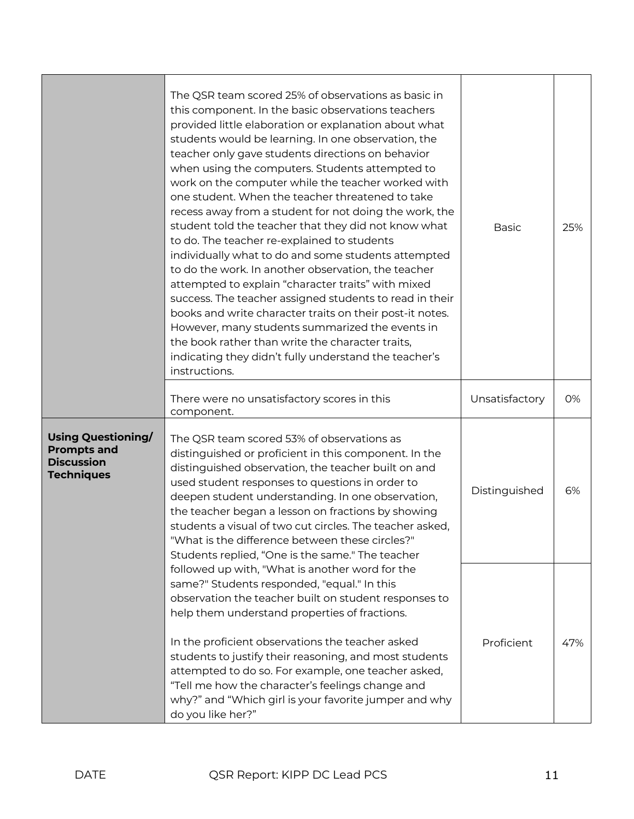|                                                                                           | The QSR team scored 25% of observations as basic in<br>this component. In the basic observations teachers<br>provided little elaboration or explanation about what<br>students would be learning. In one observation, the<br>teacher only gave students directions on behavior<br>when using the computers. Students attempted to<br>work on the computer while the teacher worked with<br>one student. When the teacher threatened to take<br>recess away from a student for not doing the work, the<br>student told the teacher that they did not know what<br>to do. The teacher re-explained to students<br>individually what to do and some students attempted<br>to do the work. In another observation, the teacher<br>attempted to explain "character traits" with mixed<br>success. The teacher assigned students to read in their<br>books and write character traits on their post-it notes.<br>However, many students summarized the events in<br>the book rather than write the character traits,<br>indicating they didn't fully understand the teacher's<br>instructions. | <b>Basic</b>   | 25% |
|-------------------------------------------------------------------------------------------|------------------------------------------------------------------------------------------------------------------------------------------------------------------------------------------------------------------------------------------------------------------------------------------------------------------------------------------------------------------------------------------------------------------------------------------------------------------------------------------------------------------------------------------------------------------------------------------------------------------------------------------------------------------------------------------------------------------------------------------------------------------------------------------------------------------------------------------------------------------------------------------------------------------------------------------------------------------------------------------------------------------------------------------------------------------------------------------|----------------|-----|
|                                                                                           | There were no unsatisfactory scores in this<br>component.                                                                                                                                                                                                                                                                                                                                                                                                                                                                                                                                                                                                                                                                                                                                                                                                                                                                                                                                                                                                                                | Unsatisfactory | 0%  |
| <b>Using Questioning/</b><br><b>Prompts and</b><br><b>Discussion</b><br><b>Techniques</b> | The QSR team scored 53% of observations as<br>distinguished or proficient in this component. In the<br>distinguished observation, the teacher built on and<br>used student responses to questions in order to<br>deepen student understanding. In one observation,<br>the teacher began a lesson on fractions by showing<br>students a visual of two cut circles. The teacher asked,<br>"What is the difference between these circles?"<br>Students replied, "One is the same." The teacher                                                                                                                                                                                                                                                                                                                                                                                                                                                                                                                                                                                              | Distinguished  | 6%  |
|                                                                                           | followed up with, "What is another word for the<br>same?" Students responded, "equal." In this<br>observation the teacher built on student responses to<br>help them understand properties of fractions.<br>In the proficient observations the teacher asked<br>students to justify their reasoning, and most students<br>attempted to do so. For example, one teacher asked,<br>"Tell me how the character's feelings change and<br>why?" and "Which girl is your favorite jumper and why<br>do you like her?"                                                                                                                                                                                                                                                                                                                                                                                                                                                                                                                                                                          | Proficient     | 47% |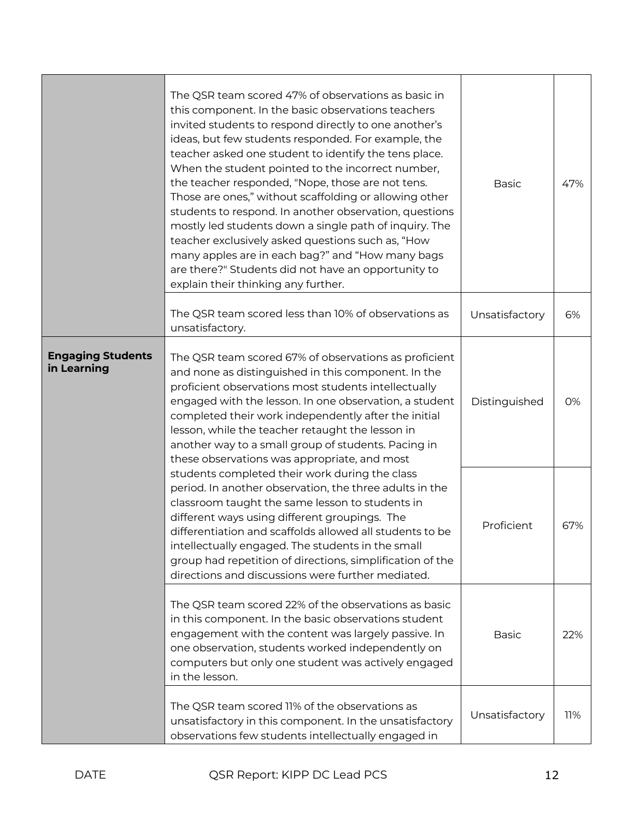|                                         | The QSR team scored 47% of observations as basic in<br>this component. In the basic observations teachers<br>invited students to respond directly to one another's<br>ideas, but few students responded. For example, the<br>teacher asked one student to identify the tens place.<br>When the student pointed to the incorrect number,<br>the teacher responded, "Nope, those are not tens.<br>Those are ones," without scaffolding or allowing other<br>students to respond. In another observation, questions<br>mostly led students down a single path of inquiry. The<br>teacher exclusively asked questions such as, "How<br>many apples are in each bag?" and "How many bags<br>are there?" Students did not have an opportunity to<br>explain their thinking any further. | <b>Basic</b>   | 47% |
|-----------------------------------------|-----------------------------------------------------------------------------------------------------------------------------------------------------------------------------------------------------------------------------------------------------------------------------------------------------------------------------------------------------------------------------------------------------------------------------------------------------------------------------------------------------------------------------------------------------------------------------------------------------------------------------------------------------------------------------------------------------------------------------------------------------------------------------------|----------------|-----|
|                                         | The QSR team scored less than 10% of observations as<br>unsatisfactory.                                                                                                                                                                                                                                                                                                                                                                                                                                                                                                                                                                                                                                                                                                           | Unsatisfactory | 6%  |
| <b>Engaging Students</b><br>in Learning | The QSR team scored 67% of observations as proficient<br>and none as distinguished in this component. In the<br>proficient observations most students intellectually<br>engaged with the lesson. In one observation, a student<br>completed their work independently after the initial<br>lesson, while the teacher retaught the lesson in<br>another way to a small group of students. Pacing in<br>these observations was appropriate, and most                                                                                                                                                                                                                                                                                                                                 | Distinguished  | 0%  |
|                                         | students completed their work during the class<br>period. In another observation, the three adults in the<br>classroom taught the same lesson to students in<br>different ways using different groupings. The<br>differentiation and scaffolds allowed all students to be<br>intellectually engaged. The students in the small<br>group had repetition of directions, simplification of the<br>directions and discussions were further mediated.                                                                                                                                                                                                                                                                                                                                  | Proficient     | 67% |
|                                         | The QSR team scored 22% of the observations as basic<br>in this component. In the basic observations student<br>engagement with the content was largely passive. In<br>one observation, students worked independently on<br>computers but only one student was actively engaged<br>in the lesson.                                                                                                                                                                                                                                                                                                                                                                                                                                                                                 | <b>Basic</b>   | 22% |
|                                         | The QSR team scored 11% of the observations as<br>unsatisfactory in this component. In the unsatisfactory<br>observations few students intellectually engaged in                                                                                                                                                                                                                                                                                                                                                                                                                                                                                                                                                                                                                  | Unsatisfactory | 11% |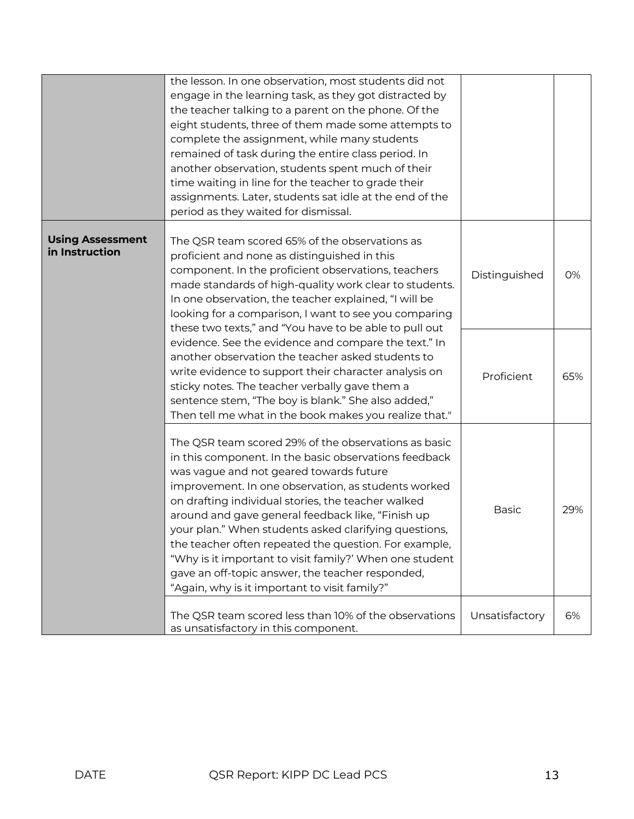|                                           | the lesson. In one observation, most students did not<br>engage in the learning task, as they got distracted by<br>the teacher talking to a parent on the phone. Of the<br>eight students, three of them made some attempts to<br>complete the assignment, while many students<br>remained of task during the entire class period. In<br>another observation, students spent much of their<br>time waiting in line for the teacher to grade their<br>assignments. Later, students sat idle at the end of the<br>period as they waited for dismissal.                                                         |                |     |
|-------------------------------------------|--------------------------------------------------------------------------------------------------------------------------------------------------------------------------------------------------------------------------------------------------------------------------------------------------------------------------------------------------------------------------------------------------------------------------------------------------------------------------------------------------------------------------------------------------------------------------------------------------------------|----------------|-----|
| <b>Using Assessment</b><br>in Instruction | The QSR team scored 65% of the observations as<br>proficient and none as distinguished in this<br>component. In the proficient observations, teachers<br>made standards of high-quality work clear to students.<br>In one observation, the teacher explained, "I will be<br>looking for a comparison, I want to see you comparing<br>these two texts," and "You have to be able to pull out                                                                                                                                                                                                                  | Distinguished  | 0%  |
|                                           | evidence. See the evidence and compare the text." In<br>another observation the teacher asked students to<br>write evidence to support their character analysis on<br>sticky notes. The teacher verbally gave them a<br>sentence stem, "The boy is blank." She also added,"<br>Then tell me what in the book makes you realize that."                                                                                                                                                                                                                                                                        | Proficient     | 65% |
|                                           | The QSR team scored 29% of the observations as basic<br>in this component. In the basic observations feedback<br>was vague and not geared towards future<br>improvement. In one observation, as students worked<br>on drafting individual stories, the teacher walked<br>around and gave general feedback like, "Finish up<br>your plan." When students asked clarifying questions,<br>the teacher often repeated the question. For example,<br>"Why is it important to visit family?' When one student<br>gave an off-topic answer, the teacher responded,<br>"Again, why is it important to visit family?" | <b>Basic</b>   | 29% |
|                                           | The QSR team scored less than 10% of the observations<br>as unsatisfactory in this component.                                                                                                                                                                                                                                                                                                                                                                                                                                                                                                                | Unsatisfactory | 6%  |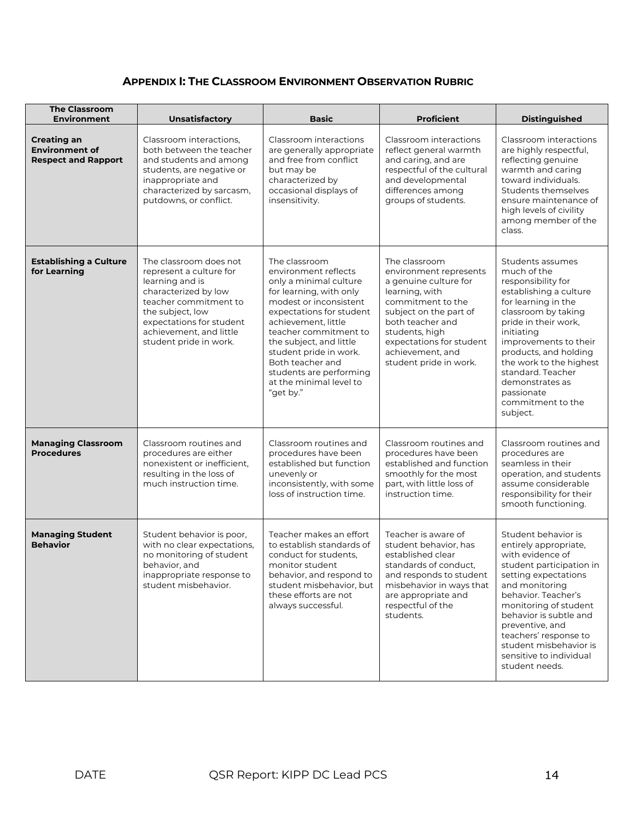## **APPENDIX I: THE CLASSROOM ENVIRONMENT OBSERVATION RUBRIC**

| <b>The Classroom</b><br><b>Environment</b>                                | Unsatisfactory                                                                                                                                                                                                             | <b>Basic</b>                                                                                                                                                                                                                                                                                                                                 | <b>Proficient</b>                                                                                                                                                                                                                                 | <b>Distinguished</b>                                                                                                                                                                                                                                                                                                                    |
|---------------------------------------------------------------------------|----------------------------------------------------------------------------------------------------------------------------------------------------------------------------------------------------------------------------|----------------------------------------------------------------------------------------------------------------------------------------------------------------------------------------------------------------------------------------------------------------------------------------------------------------------------------------------|---------------------------------------------------------------------------------------------------------------------------------------------------------------------------------------------------------------------------------------------------|-----------------------------------------------------------------------------------------------------------------------------------------------------------------------------------------------------------------------------------------------------------------------------------------------------------------------------------------|
| <b>Creating an</b><br><b>Environment of</b><br><b>Respect and Rapport</b> | Classroom interactions,<br>both between the teacher<br>and students and among<br>students, are negative or<br>inappropriate and<br>characterized by sarcasm,<br>putdowns, or conflict.                                     | Classroom interactions<br>are generally appropriate<br>and free from conflict<br>but may be<br>characterized by<br>occasional displays of<br>insensitivity.                                                                                                                                                                                  | Classroom interactions<br>reflect general warmth<br>and caring, and are<br>respectful of the cultural<br>and developmental<br>differences among<br>groups of students.                                                                            | Classroom interactions<br>are highly respectful,<br>reflecting genuine<br>warmth and caring<br>toward individuals.<br>Students themselves<br>ensure maintenance of<br>high levels of civility<br>among member of the<br>class.                                                                                                          |
| <b>Establishing a Culture</b><br>for Learning                             | The classroom does not<br>represent a culture for<br>learning and is<br>characterized by low<br>teacher commitment to<br>the subject, low<br>expectations for student<br>achievement, and little<br>student pride in work. | The classroom<br>environment reflects<br>only a minimal culture<br>for learning, with only<br>modest or inconsistent<br>expectations for student<br>achievement, little<br>teacher commitment to<br>the subject, and little<br>student pride in work.<br>Both teacher and<br>students are performing<br>at the minimal level to<br>"get by." | The classroom<br>environment represents<br>a genuine culture for<br>learning, with<br>commitment to the<br>subject on the part of<br>both teacher and<br>students, high<br>expectations for student<br>achievement, and<br>student pride in work. | Students assumes<br>much of the<br>responsibility for<br>establishing a culture<br>for learning in the<br>classroom by taking<br>pride in their work,<br>initiating<br>improvements to their<br>products, and holding<br>the work to the highest<br>standard. Teacher<br>demonstrates as<br>passionate<br>commitment to the<br>subject. |
| <b>Managing Classroom</b><br><b>Procedures</b>                            | Classroom routines and<br>procedures are either<br>nonexistent or inefficient,<br>resulting in the loss of<br>much instruction time.                                                                                       | Classroom routines and<br>procedures have been<br>established but function<br>unevenly or<br>inconsistently, with some<br>loss of instruction time.                                                                                                                                                                                          | Classroom routines and<br>procedures have been<br>established and function<br>smoothly for the most<br>part, with little loss of<br>instruction time.                                                                                             | Classroom routines and<br>procedures are<br>seamless in their<br>operation, and students<br>assume considerable<br>responsibility for their<br>smooth functioning.                                                                                                                                                                      |
| <b>Managing Student</b><br><b>Behavior</b>                                | Student behavior is poor,<br>with no clear expectations,<br>no monitoring of student<br>behavior, and<br>inappropriate response to<br>student misbehavior.                                                                 | Teacher makes an effort<br>to establish standards of<br>conduct for students,<br>monitor student<br>behavior, and respond to<br>student misbehavior, but<br>these efforts are not<br>always successful.                                                                                                                                      | Teacher is aware of<br>student behavior, has<br>established clear<br>standards of conduct,<br>and responds to student<br>misbehavior in ways that<br>are appropriate and<br>respectful of the<br>students.                                        | Student behavior is<br>entirely appropriate,<br>with evidence of<br>student participation in<br>setting expectations<br>and monitoring<br>behavior. Teacher's<br>monitoring of student<br>behavior is subtle and<br>preventive, and<br>teachers' response to<br>student misbehavior is<br>sensitive to individual<br>student needs.     |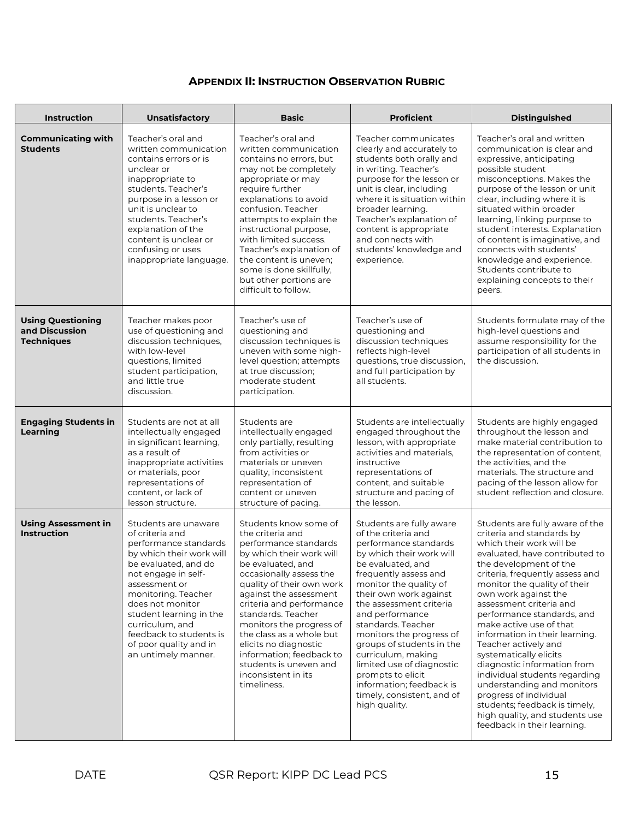## **APPENDIX II: INSTRUCTION OBSERVATION RUBRIC**

| Instruction                                                     | <b>Unsatisfactory</b>                                                                                                                                                                                                                                                                                                             | <b>Basic</b>                                                                                                                                                                                                                                                                                                                                                                                                                         | <b>Proficient</b>                                                                                                                                                                                                                                                                                                                                                                                                                                                                      | <b>Distinguished</b>                                                                                                                                                                                                                                                                                                                                                                                                                                                                                                                                                                                                                              |
|-----------------------------------------------------------------|-----------------------------------------------------------------------------------------------------------------------------------------------------------------------------------------------------------------------------------------------------------------------------------------------------------------------------------|--------------------------------------------------------------------------------------------------------------------------------------------------------------------------------------------------------------------------------------------------------------------------------------------------------------------------------------------------------------------------------------------------------------------------------------|----------------------------------------------------------------------------------------------------------------------------------------------------------------------------------------------------------------------------------------------------------------------------------------------------------------------------------------------------------------------------------------------------------------------------------------------------------------------------------------|---------------------------------------------------------------------------------------------------------------------------------------------------------------------------------------------------------------------------------------------------------------------------------------------------------------------------------------------------------------------------------------------------------------------------------------------------------------------------------------------------------------------------------------------------------------------------------------------------------------------------------------------------|
| <b>Communicating with</b><br><b>Students</b>                    | Teacher's oral and<br>written communication<br>contains errors or is<br>unclear or<br>inappropriate to<br>students. Teacher's<br>purpose in a lesson or<br>unit is unclear to<br>students. Teacher's<br>explanation of the<br>content is unclear or<br>confusing or uses<br>inappropriate language.                               | Teacher's oral and<br>written communication<br>contains no errors, but<br>may not be completely<br>appropriate or may<br>require further<br>explanations to avoid<br>confusion. Teacher<br>attempts to explain the<br>instructional purpose,<br>with limited success.<br>Teacher's explanation of<br>the content is uneven;<br>some is done skillfully,<br>but other portions are<br>difficult to follow.                            | Teacher communicates<br>clearly and accurately to<br>students both orally and<br>in writing. Teacher's<br>purpose for the lesson or<br>unit is clear, including<br>where it is situation within<br>broader learning.<br>Teacher's explanation of<br>content is appropriate<br>and connects with<br>students' knowledge and<br>experience.                                                                                                                                              | Teacher's oral and written<br>communication is clear and<br>expressive, anticipating<br>possible student<br>misconceptions. Makes the<br>purpose of the lesson or unit<br>clear, including where it is<br>situated within broader<br>learning, linking purpose to<br>student interests. Explanation<br>of content is imaginative, and<br>connects with students'<br>knowledge and experience.<br>Students contribute to<br>explaining concepts to their<br>peers.                                                                                                                                                                                 |
| <b>Using Questioning</b><br>and Discussion<br><b>Techniques</b> | Teacher makes poor<br>use of questioning and<br>discussion techniques.<br>with low-level<br>questions, limited<br>student participation,<br>and little true<br>discussion.                                                                                                                                                        | Teacher's use of<br>questioning and<br>discussion techniques is<br>uneven with some high-<br>level question; attempts<br>at true discussion;<br>moderate student<br>participation.                                                                                                                                                                                                                                                   | Teacher's use of<br>questioning and<br>discussion techniques<br>reflects high-level<br>questions, true discussion,<br>and full participation by<br>all students.                                                                                                                                                                                                                                                                                                                       | Students formulate may of the<br>high-level questions and<br>assume responsibility for the<br>participation of all students in<br>the discussion.                                                                                                                                                                                                                                                                                                                                                                                                                                                                                                 |
| <b>Engaging Students in</b><br>Learning                         | Students are not at all<br>intellectually engaged<br>in significant learning,<br>as a result of<br>inappropriate activities<br>or materials, poor<br>representations of<br>content, or lack of<br>lesson structure.                                                                                                               | Students are<br>intellectually engaged<br>only partially, resulting<br>from activities or<br>materials or uneven<br>quality, inconsistent<br>representation of<br>content or uneven<br>structure of pacing.                                                                                                                                                                                                                          | Students are intellectually<br>engaged throughout the<br>lesson, with appropriate<br>activities and materials,<br>instructive<br>representations of<br>content, and suitable<br>structure and pacing of<br>the lesson.                                                                                                                                                                                                                                                                 | Students are highly engaged<br>throughout the lesson and<br>make material contribution to<br>the representation of content,<br>the activities, and the<br>materials. The structure and<br>pacing of the lesson allow for<br>student reflection and closure.                                                                                                                                                                                                                                                                                                                                                                                       |
| <b>Using Assessment in</b><br><b>Instruction</b>                | Students are unaware<br>of criteria and<br>performance standards<br>by which their work will<br>be evaluated, and do<br>not engage in self-<br>assessment or<br>monitoring. Teacher<br>does not monitor<br>student learning in the<br>curriculum, and<br>feedback to students is<br>of poor quality and in<br>an untimely manner. | Students know some of<br>the criteria and<br>performance standards<br>by which their work will<br>be evaluated, and<br>occasionally assess the<br>quality of their own work<br>against the assessment<br>criteria and performance<br>standards. Teacher<br>monitors the progress of<br>the class as a whole but<br>elicits no diagnostic<br>information; feedback to<br>students is uneven and<br>inconsistent in its<br>timeliness. | Students are fully aware<br>of the criteria and<br>performance standards<br>by which their work will<br>be evaluated, and<br>frequently assess and<br>monitor the quality of<br>their own work against<br>the assessment criteria<br>and performance<br>standards. Teacher<br>monitors the progress of<br>groups of students in the<br>curriculum, making<br>limited use of diagnostic<br>prompts to elicit<br>information; feedback is<br>timely, consistent, and of<br>high quality. | Students are fully aware of the<br>criteria and standards by<br>which their work will be<br>evaluated, have contributed to<br>the development of the<br>criteria, frequently assess and<br>monitor the quality of their<br>own work against the<br>assessment criteria and<br>performance standards, and<br>make active use of that<br>information in their learning.<br>Teacher actively and<br>systematically elicits<br>diagnostic information from<br>individual students regarding<br>understanding and monitors<br>progress of individual<br>students; feedback is timely,<br>high quality, and students use<br>feedback in their learning. |